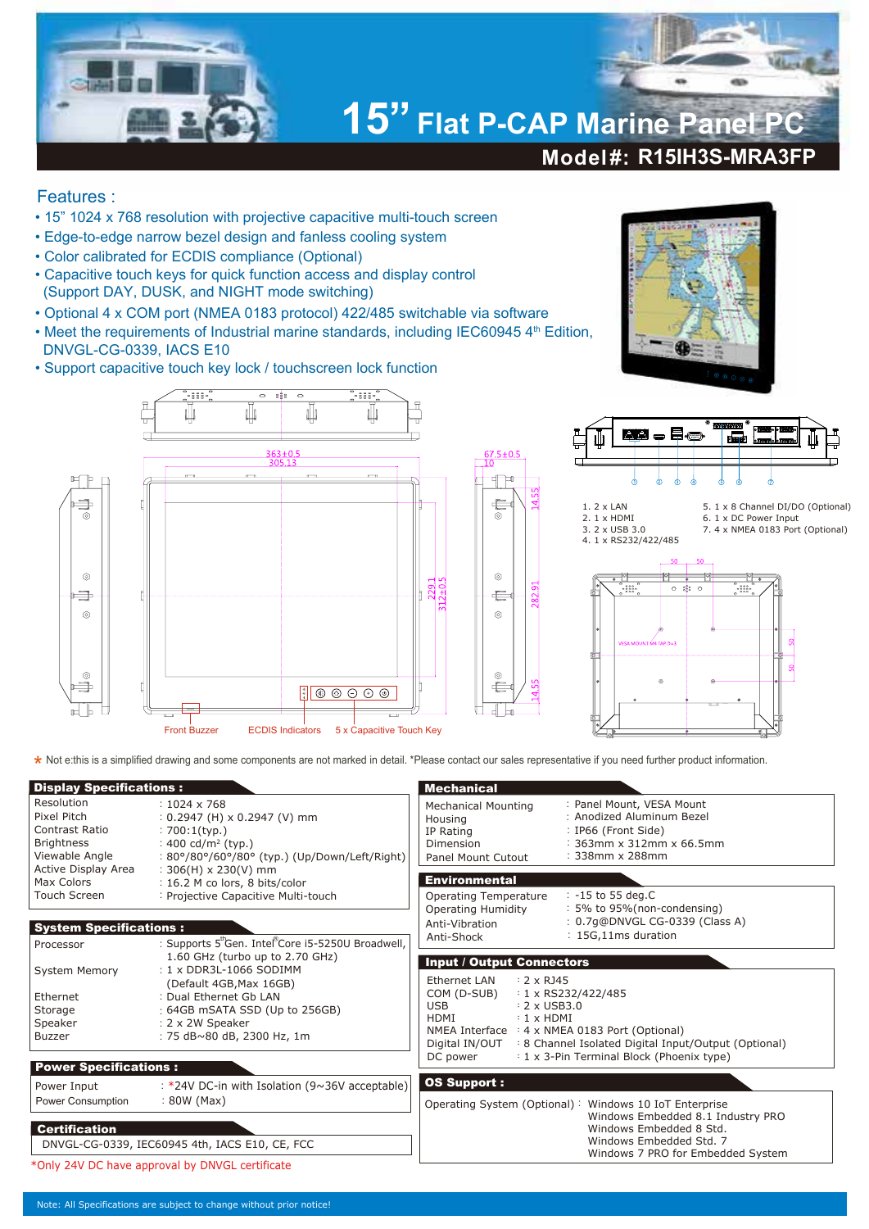

## Features :

- 15" 1024 x 768 resolution with projective capacitive multi-touch screen
- Edge-to-edge narrow bezel design and fanless cooling system
- Color calibrated for ECDIS compliance (Optional)
- Capacitive touch keys for quick function access and display control (Support DAY, DUSK, and NIGHT mode switching)
- Optional 4 x COM port (NMEA 0183 protocol) 422/485 switchable via software
- Meet the requirements of Industrial marine standards, including IEC60945 4<sup>th</sup> Edition, DNVGL-CG-0339, IACS E10
- Support capacitive touch key lock / touchscreen lock function









5. 1 x 8 Channel DI/DO (Optional) 6. 1 x DC Power Input 7. 4 x NMEA 0183 Port (Optional)



**\*** Not e:this is a simplified drawing and some components are not marked in detail. \*Please contact our sales representative if you need further product information.<br>■

| <b>Display Specifications:</b>                                                     |                                                                                                                                                              | <b>Mechanical</b>                                                                                                                                                                                                                                                              |                                                                                                                                                                                        |  |  |
|------------------------------------------------------------------------------------|--------------------------------------------------------------------------------------------------------------------------------------------------------------|--------------------------------------------------------------------------------------------------------------------------------------------------------------------------------------------------------------------------------------------------------------------------------|----------------------------------------------------------------------------------------------------------------------------------------------------------------------------------------|--|--|
| Resolution<br>Pixel Pitch<br>Contrast Ratio<br><b>Brightness</b><br>Viewable Angle | $: 1024 \times 768$<br>$: 0.2947$ (H) x 0.2947 (V) mm<br>$: 700:1$ (typ.)<br>: 400 cd/m <sup>2</sup> (typ.)<br>: 80°/80°/60°/80° (typ.) (Up/Down/Left/Right) | <b>Mechanical Mounting</b><br>Housing<br>IP Rating<br>Dimension<br><b>Panel Mount Cutout</b>                                                                                                                                                                                   | : Panel Mount, VESA Mount<br>: Anodized Aluminum Bezel<br>: IP66 (Front Side)<br>: 363mm x 312mm x 66.5mm<br>: 338mm x 288mm                                                           |  |  |
| Active Display Area<br>Max Colors                                                  | $: 306(H) \times 230(V)$ mm<br>: 16.2 M co lors, 8 bits/color                                                                                                | <b>Environmental</b>                                                                                                                                                                                                                                                           |                                                                                                                                                                                        |  |  |
| Touch Screen                                                                       | : Projective Capacitive Multi-touch                                                                                                                          | Operating Temperature<br><b>Operating Humidity</b>                                                                                                                                                                                                                             | $: -15$ to 55 deg.C<br>: 5% to 95% (non-condensing)                                                                                                                                    |  |  |
| <b>System Specifications:</b>                                                      |                                                                                                                                                              | Anti-Vibration                                                                                                                                                                                                                                                                 | : 0.7g@DNVGL CG-0339 (Class A)                                                                                                                                                         |  |  |
| Processor                                                                          | : Supports 5 <sup>th</sup> Gen. Intel <sup>®</sup> Core i5-5250U Broadwell,                                                                                  | Anti-Shock                                                                                                                                                                                                                                                                     | : 15G,11ms duration                                                                                                                                                                    |  |  |
| <b>System Memory</b>                                                               | 1.60 GHz (turbo up to 2.70 GHz)<br>: 1 x DDR3L-1066 SODIMM                                                                                                   | <b>Input / Output Connectors</b>                                                                                                                                                                                                                                               |                                                                                                                                                                                        |  |  |
| Ethernet<br>Storage<br>Speaker<br><b>Buzzer</b>                                    | (Default 4GB, Max 16GB)<br>: Dual Ethernet Gb LAN<br>$\frac{1}{2}$ 64GB mSATA SSD (Up to 256GB)<br>: 2 x 2W Speaker<br>: 75 dB~80 dB, 2300 Hz, 1m            | <b>Ethernet LAN</b><br>$: 2 \times R$ J45<br>COM (D-SUB)<br>$: 1 \times$ RS232/422/485<br>$: 2 \times$ USB3.0<br>USB.<br>HDMI<br>$: 1 \times HDMI$<br>NMEA Interface : 4 x NMEA 0183 Port (Optional)<br>Digital IN/OUT<br>: 8 Channel Isolated Digital Input/Output (Optional) |                                                                                                                                                                                        |  |  |
| <b>Power Specifications:</b>                                                       |                                                                                                                                                              | DC power                                                                                                                                                                                                                                                                       | : 1 x 3-Pin Terminal Block (Phoenix type)                                                                                                                                              |  |  |
| Power Input<br>Power Consumption                                                   | : *24V DC-in with Isolation ( $9 \sim 36V$ acceptable)<br>$: 80W$ (Max)                                                                                      | <b>OS Support:</b>                                                                                                                                                                                                                                                             |                                                                                                                                                                                        |  |  |
| <b>Certification</b>                                                               | DNVGL-CG-0339, IEC60945 4th, IACS E10, CE, FCC                                                                                                               |                                                                                                                                                                                                                                                                                | Operating System (Optional): Windows 10 IoT Enterprise<br>Windows Embedded 8.1 Industry PRO<br>Windows Embedded 8 Std.<br>Windows Embedded Std. 7<br>Windows 7 PRO for Embedded System |  |  |
| *Only 24V DC have approval by DNVGL certificate                                    |                                                                                                                                                              |                                                                                                                                                                                                                                                                                |                                                                                                                                                                                        |  |  |